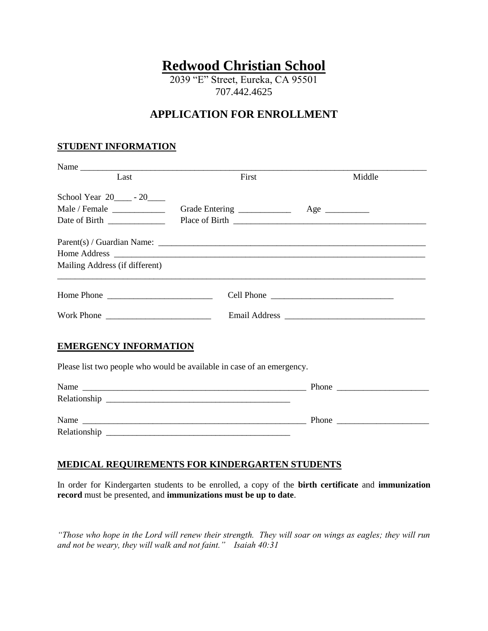# **Redwood Christian School**

2039 "E" Street, Eureka, CA 95501 707.442.4625

## **APPLICATION FOR ENROLLMENT**

## **STUDENT INFORMATION**

| Last                                                                                                                       | First                                                                  | Middle   |
|----------------------------------------------------------------------------------------------------------------------------|------------------------------------------------------------------------|----------|
| School Year 20____ - 20____                                                                                                |                                                                        |          |
|                                                                                                                            | Grade Entering ____________                                            | $Age \_$ |
|                                                                                                                            |                                                                        |          |
|                                                                                                                            |                                                                        |          |
|                                                                                                                            |                                                                        |          |
| Mailing Address (if different)                                                                                             |                                                                        |          |
| Home Phone $\frac{1}{\sqrt{1-\frac{1}{2}}}\left\{ \frac{1}{2}, \frac{1}{2}, \frac{1}{2}, \frac{1}{2}, \frac{1}{2}\right\}$ |                                                                        |          |
|                                                                                                                            |                                                                        |          |
| <b>EMERGENCY INFORMATION</b>                                                                                               | Please list two people who would be available in case of an emergency. |          |
|                                                                                                                            |                                                                        |          |
|                                                                                                                            |                                                                        |          |
|                                                                                                                            |                                                                        |          |
|                                                                                                                            |                                                                        |          |

Name \_\_\_\_\_\_\_\_\_\_\_\_\_\_\_\_\_\_\_\_\_\_\_\_\_\_\_\_\_\_\_\_\_\_\_\_\_\_\_\_\_\_\_\_\_\_\_\_\_\_\_ Phone \_\_\_\_\_\_\_\_\_\_\_\_\_\_\_\_\_\_\_\_\_ Relationship \_\_\_\_\_\_\_\_\_\_\_\_\_\_\_\_\_\_\_\_\_\_\_\_\_\_\_\_\_\_\_\_\_\_\_\_\_\_\_\_\_\_

## **MEDICAL REQUIREMENTS FOR KINDERGARTEN STUDENTS**

In order for Kindergarten students to be enrolled, a copy of the **birth certificate** and **immunization record** must be presented, and **immunizations must be up to date**.

*"Those who hope in the Lord will renew their strength. They will soar on wings as eagles; they will run and not be weary, they will walk and not faint." Isaiah 40:31*